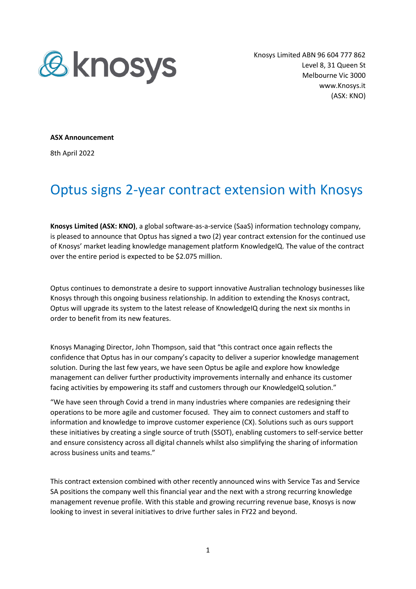

Knosys Limited ABN 96 604 777 862 Level 8, 31 Queen St Melbourne Vic 3000 www.Knosys.it (ASX: KNO)

**ASX Announcement**

8th April 2022

## Optus signs 2-year contract extension with Knosys

**Knosys Limited (ASX: KNO)**, a global software-as-a-service (SaaS) information technology company, is pleased to announce that Optus has signed a two (2) year contract extension for the continued use of Knosys' market leading knowledge management platform KnowledgeIQ. The value of the contract over the entire period is expected to be \$2.075 million.

Optus continues to demonstrate a desire to support innovative Australian technology businesses like Knosys through this ongoing business relationship. In addition to extending the Knosys contract, Optus will upgrade its system to the latest release of KnowledgeIQ during the next six months in order to benefit from its new features.

Knosys Managing Director, John Thompson, said that "this contract once again reflects the confidence that Optus has in our company's capacity to deliver a superior knowledge management solution. During the last few years, we have seen Optus be agile and explore how knowledge management can deliver further productivity improvements internally and enhance its customer facing activities by empowering its staff and customers through our KnowledgeIQ solution."

"We have seen through Covid a trend in many industries where companies are redesigning their operations to be more agile and customer focused. They aim to connect customers and staff to information and knowledge to improve customer experience (CX). Solutions such as ours support these initiatives by creating a single source of truth (SSOT), enabling customers to self-service better and ensure consistency across all digital channels whilst also simplifying the sharing of information across business units and teams."

This contract extension combined with other recently announced wins with Service Tas and Service SA positions the company well this financial year and the next with a strong recurring knowledge management revenue profile. With this stable and growing recurring revenue base, Knosys is now looking to invest in several initiatives to drive further sales in FY22 and beyond.